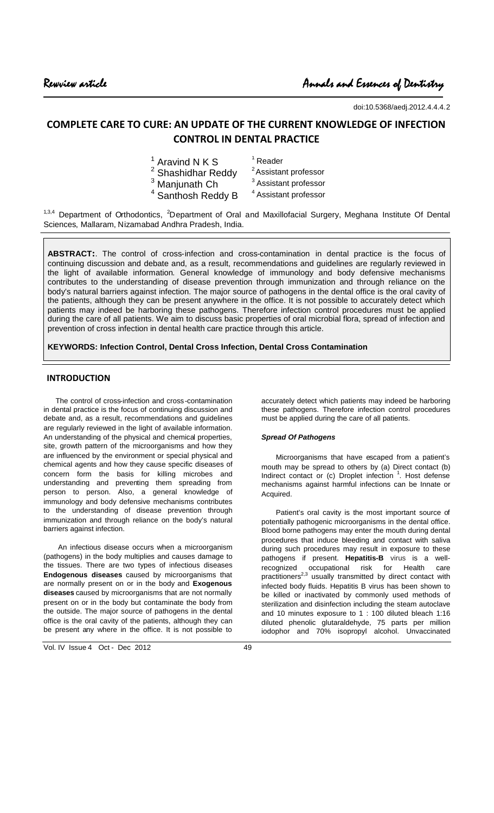doi:10.5368/aedj.2012.4.4.4.2

# **COMPLETE CARE TO CURE: AN UPDATE OF THE CURRENT KNOWLEDGE OF INFECTION CONTROL IN DENTAL PRACTICE**

| $1$ Aravind N K S             | $1$ Reader                       |
|-------------------------------|----------------------------------|
| <sup>2</sup> Shashidhar Reddy | <sup>2</sup> Assistant professor |
| <sup>3</sup> Manjunath Ch     | <sup>3</sup> Assistant professor |
| <sup>4</sup> Santhosh Reddy B | <sup>4</sup> Assistant professor |

<sup>1,3,4</sup> Department of Orthodontics, <sup>2</sup>Department of Oral and Maxillofacial Surgery, Meghana Institute Of Dental Sciences, Mallaram, Nizamabad Andhra Pradesh, India.

**ABSTRACT:**. The control of cross-infection and cross-contamination in dental practice is the focus of continuing discussion and debate and, as a result, recommendations and guidelines are regularly reviewed in the light of available information. General knowledge of immunology and body defensive mechanisms contributes to the understanding of disease prevention through immunization and through reliance on the body's natural barriers against infection. The major source of pathogens in the dental office is the oral cavity of the patients, although they can be present anywhere in the office. It is not possible to accurately detect which patients may indeed be harboring these pathogens. Therefore infection control procedures must be applied during the care of all patients. We aim to discuss basic properties of oral microbial flora, spread of infection and prevention of cross infection in dental health care practice through this article.

**KEYWORDS: Infection Control, Dental Cross Infection, Dental Cross Contamination**

# **INTRODUCTION**

The control of cross-infection and cross-contamination in dental practice is the focus of continuing discussion and debate and, as a result, recommendations and guidelines are regularly reviewed in the light of available information. An understanding of the physical and chemical properties, site, growth pattern of the microorganisms and how they are influenced by the environment or special physical and chemical agents and how they cause specific diseases of concern form the basis for killing microbes and understanding and preventing them spreading from person to person. Also, a general knowledge of immunology and body defensive mechanisms contributes to the understanding of disease prevention through immunization and through reliance on the body's natural barriers against infection.

An infectious disease occurs when a microorganism (pathogens) in the body multiplies and causes damage to the tissues. There are two types of infectious diseases **Endogenous diseases** caused by microorganisms that are normally present on or in the body and **Exogenous diseases** caused by microorganisms that are not normally present on or in the body but contaminate the body from the outside. The major source of pathogens in the dental office is the oral cavity of the patients, although they can be present any where in the office. It is not possible to

Vol. IV Issue 4 Oct - Dec 2012 49

accurately detect which patients may indeed be harboring these pathogens. Therefore infection control procedures must be applied during the care of all patients.

## *Spread Of Pathogens*

Microorganisms that have escaped from a patient's mouth may be spread to others by (a) Direct contact (b) Indirect contact or (c) Droplet infection <sup>1</sup>. Host defense mechanisms against harmful infections can be Innate or Acquired.

Patient's oral cavity is the most important source of potentially pathogenic microorganisms in the dental office. Blood borne pathogens may enter the mouth during dental procedures that induce bleeding and contact with saliva during such procedures may result in exposure to these pathogens if present. **Hepatitis-B** virus is a wellrecognized occupational risk for Health care practitioners<sup>2,3</sup> usually transmitted by direct contact with infected body fluids. Hepatitis B virus has been shown to be killed or inactivated by commonly used methods of sterilization and disinfection including the steam autoclave and 10 minutes exposure to 1 : 100 diluted bleach 1:16 diluted phenolic glutaraldehyde, 75 parts per million iodophor and 70% isopropyl alcohol. Unvaccinated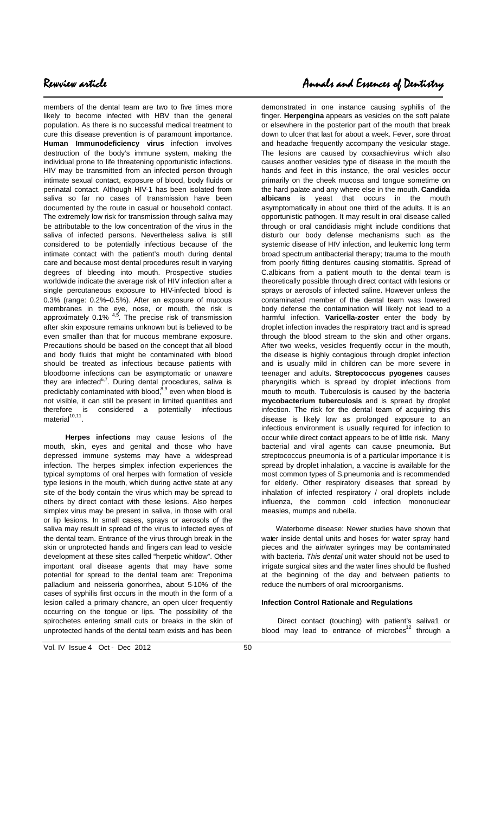members of the dental team are two to five times more likely to become infected with HBV than the general population. As there is no successful medical treatment to cure this disease prevention is of paramount importance. **Human Immunodeficiency virus** infection involves destruction of the body's immune system, making the individual prone to life threatening opportunistic infections. HIV may be transmitted from an infected person through intimate sexual contact, exposure of blood, body fluids or perinatal contact. Although HIV-1 has been isolated from saliva so far no cases of transmission have been documented by the route in casual or household contact. The extremely low risk for transmission through saliva may be attributable to the low concentration of the virus in the saliva of infected persons. Nevertheless saliva is still considered to be potentially infectious because of the intimate contact with the patient's mouth during dental care and because most dental procedures result in varying degrees of bleeding into mouth. Prospective studies worldwide indicate the average risk of HIV infection after a single percutaneous exposure to HIV-infected blood is 0.3% (range: 0.2%–0.5%). After an exposure of mucous membranes in the eye, nose, or mouth, the risk is approximately 0.1% <sup>4,5</sup>. The precise risk of transmission after skin exposure remains unknown but is believed to be even smaller than that for mucous membrane exposure. Precautions should be based on the concept that all blood and body fluids that might be contaminated with blood should be treated as infectious because patients with bloodborne infections can be asymptomatic or unaware they are infected<sup>6,7</sup>. During dental procedures, saliva is predictably contaminated with blood,<sup>8,9</sup> even when blood is not visible, it can still be present in limited quantities and therefore is considered a potentially infectious material<sup>10,11</sup>.

**Herpes infections** may cause lesions of the mouth, skin, eyes and genital and those who have depressed immune systems may have a widespread infection. The herpes simplex infection experiences the typical symptoms of oral herpes with formation of vesicle type lesions in the mouth, which during active state at any site of the body contain the virus which may be spread to others by direct contact with these lesions. Also herpes simplex virus may be present in saliva, in those with oral or lip lesions. In small cases, sprays or aerosols of the saliva may result in spread of the virus to infected eyes of the dental team. Entrance of the virus through break in the skin or unprotected hands and fingers can lead to vesicle development at these sites called "herpetic whitlow". Other important oral disease agents that may have some potential for spread to the dental team are: Treponima palladium and neisseria gonorrhea, about 5-10% of the cases of syphilis first occurs in the mouth in the form of a lesion called a primary chancre, an open ulcer frequently occurring on the tongue or lips. The possibility of the spirochetes entering small cuts or breaks in the skin of unprotected hands of the dental team exists and has been

# Rewview article Annals and Essences of Dentistry

demonstrated in one instance causing syphilis of the finger. **Herpengina** appears as vesicles on the soft palate or elsewhere in the posterior part of the mouth that break down to ulcer that last for about a week. Fever, sore throat and headache frequently accompany the vesicular stage. The lesions are caused by coxsachievirus which also causes another vesicles type of disease in the mouth the hands and feet in this instance, the oral vesicles occur primarily on the cheek mucosa and tongue sometime on the hard palate and any where else in the mouth. **Candida albicans** is yeast that occurs in the mouth asymptomatically in about one third of the adults. It is an opportunistic pathogen. It may result in oral disease called through or oral candidiasis might include conditions that disturb our body defense mechanisms such as the systemic disease of HIV infection, and leukemic long term broad spectrum antibacterial therapy; trauma to the mouth from poorly fitting dentures causing stomatitis. Spread of C.albicans from a patient mouth to the dental team is theoretically possible through direct contact with lesions or sprays or aerosols of infected saline. However unless the contaminated member of the dental team was lowered body defense the contamination will likely not lead to a harmful infection. **Varicella-zoster** enter the body by droplet infection invades the respiratory tract and is spread through the blood stream to the skin and other organs. After two weeks, vesicles frequently occur in the mouth, the disease is highly contagious through droplet infection and is usually mild in children can be more severe in teenager and adults. **Streptococcus pyogenes** causes pharyngitis which is spread by droplet infections from mouth to mouth. Tuberculosis is caused by the bacteria **mycobacterium tuberculosis** and is spread by droplet infection. The risk for the dental team of acquiring this disease is likely low as prolonged exposure to an infectious environment is usually required for infection to occur while direct contact appears to be of little risk. Many bacterial and viral agents can cause pneumonia. But streptococcus pneumonia is of a particular importance it is spread by droplet inhalation, a vaccine is available for the most common types of S.pneumonia and is recommended for elderly. Other respiratory diseases that spread by inhalation of infected respiratory / oral droplets include influenza, the common cold infection mononuclear measles, mumps and rubella.

Waterborne disease: Newer studies have shown that water inside dental units and hoses for water spray hand pieces and the air/water syringes may be contaminated with bacteria. *This dental* unit water should not be used to irrigate surgical sites and the water lines should be flushed at the beginning of the day and between patients to reduce the numbers of oral microorganisms.

# **Infection Control Rationale and Regulations**

Direct contact (touching) with patient's saliva1 or blood may lead to entrance of microbes $12$  through a

Vol. IV Issue 4 Oct - Dec 2012 50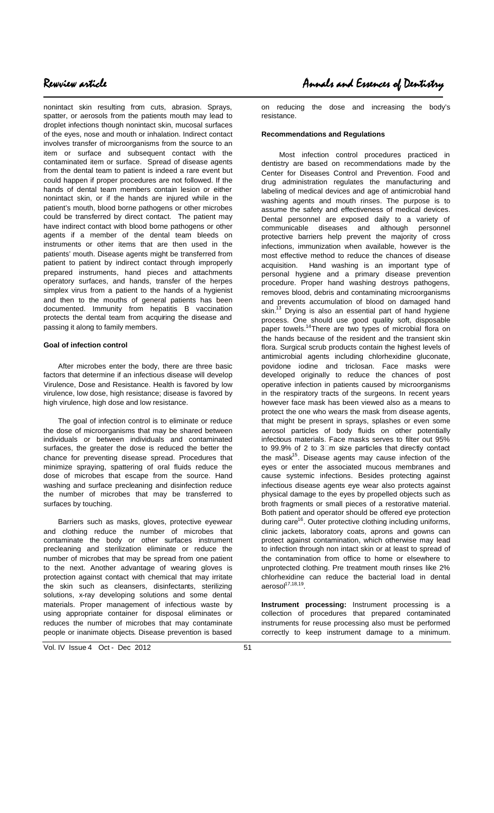nonintact skin resulting from cuts, abrasion. Sprays, spatter, or aerosols from the patients mouth may lead to droplet infections though nonintact skin, mucosal surfaces of the eyes, nose and mouth or inhalation. Indirect contact involves transfer of microorganisms from the source to an item or surface and subsequent contact with the contaminated item or surface. Spread of disease agents from the dental team to patient is indeed a rare event but could happen if proper procedures are not followed. If the hands of dental team members contain lesion or either nonintact skin, or if the hands are injured while in the patient's mouth, blood borne pathogens or other microbes could be transferred by direct contact. The patient may have indirect contact with blood borne pathogens or other agents if a member of the dental team bleeds on instruments or other items that are then used in the patients' mouth. Disease agents might be transferred from patient to patient by indirect contact through improperly prepared instruments, hand pieces and attachments operatory surfaces, and hands, transfer of the herpes simplex virus from a patient to the hands of a hygienist and then to the mouths of general patients has been documented. Immunity from hepatitis B vaccination protects the dental team from acquiring the disease and passing it along to family members.

### **Goal of infection control**

After microbes enter the body, there are three basic factors that determine if an infectious disease will develop Virulence, Dose and Resistance. Health is favored by low virulence, low dose, high resistance; disease is favored by high virulence, high dose and low resistance.

The goal of infection control is to eliminate or reduce the dose of microorganisms that may be shared between individuals or between individuals and contaminated surfaces, the greater the dose is reduced the better the chance for preventing disease spread. Procedures that minimize spraying, spattering of oral fluids reduce the dose of microbes that escape from the source. Hand washing and surface precleaning and disinfection reduce the number of microbes that may be transferred to surfaces by touching.

Barriers such as masks, gloves, protective eyewear and clothing reduce the number of microbes that contaminate the body or other surfaces instrument precleaning and sterilization eliminate or reduce the number of microbes that may be spread from one patient to the next. Another advantage of wearing gloves is protection against contact with chemical that may irritate the skin such as cleansers, disinfectants, sterilizing solutions, x-ray developing solutions and some dental materials. Proper management of infectious waste by using appropriate container for disposal eliminates or reduces the number of microbes that may contaminate people or inanimate objects. Disease prevention is based

on reducing the dose and increasing the body's resistance.

#### **Recommendations and Regulations**

Most infection control procedures practiced in dentistry are based on recommendations made by the Center for Diseases Control and Prevention. Food and drug administration regulates the manufacturing and labeling of medical devices and age of antimicrobial hand washing agents and mouth rinses. The purpose is to assume the safety and effectiveness of medical devices. Dental personnel are exposed daily to a variety of communicable diseases and although personnel protective barriers help prevent the majority of cross infections, immunization when available, however is the most effective method to reduce the chances of disease acquisition. Hand washing is an important type of personal hygiene and a primary disease prevention procedure. Proper hand washing destroys pathogens, removes blood, debris and contaminating microorganisms and prevents accumulation of blood on damaged hand skin.<sup>13</sup> Drying is also an essential part of hand hygiene process. One should use good quality soft, disposable paper towels.<sup>14</sup>There are two types of microbial flora on the hands because of the resident and the transient skin flora. Surgical scrub products contain the highest levels of antimicrobial agents including chlorhexidine gluconate, povidone iodine and triclosan. Face masks were developed originally to reduce the chances of post operative infection in patients caused by microorganisms in the respiratory tracts of the surgeons. In recent years however face mask has been viewed also as a means to protect the one who wears the mask from disease agents, that might be present in sprays, splashes or even some aerosol particles of body fluids on other potentially infectious materials. Face masks serves to filter out 95% to 99.9% of 2 to  $3\text{ m}$  size particles that directly contact the mask<sup>15</sup>. Disease agents may cause infection of the eyes or enter the associated mucous membranes and cause systemic infections. Besides protecting against infectious disease agents eye wear also protects against physical damage to the eyes by propelled objects such as broth fragments or small pieces of a restorative material. Both patient and operator should be offered eye protection during care<sup>16</sup>. Outer protective clothing including uniforms, clinic jackets, laboratory coats, aprons and gowns can protect against contamination, which otherwise may lead to infection through non intact skin or at least to spread of the contamination from office to home or elsewhere to unprotected clothing. Pre treatment mouth rinses like 2% chlorhexidine can reduce the bacterial load in dental aerosol<sup>17,18,19</sup>.

**Instrument processing:** Instrument processing is a collection of procedures that prepared contaminated instruments for reuse processing also must be performed correctly to keep instrument damage to a minimum.

Vol. IV Issue 4 Oct - Dec 2012 51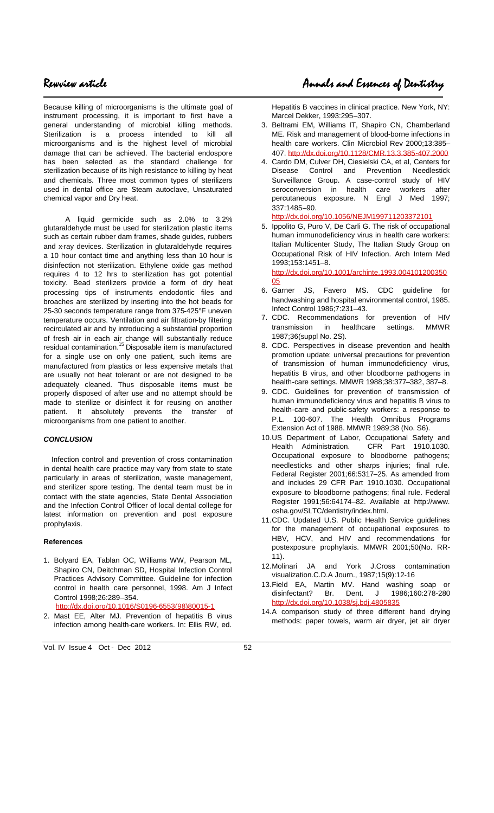Because killing of microorganisms is the ultimate goal of instrument processing, it is important to first have a general understanding of microbial killing methods. Sterilization is a process intended to kill all microorganisms and is the highest level of microbial damage that can be achieved. The bacterial endospore has been selected as the standard challenge for sterilization because of its high resistance to killing by heat and chemicals. Three most common types of sterilizers used in dental office are Steam autoclave, Unsaturated chemical vapor and Dry heat.

A liquid germicide such as 2.0% to 3.2% glutaraldehyde must be used for sterilization plastic items such as certain rubber dam frames, shade guides, rubbers and x-ray devices. Sterilization in glutaraldehyde requires a 10 hour contact time and anything less than 10 hour is disinfection not sterilization. Ethylene oxide gas method requires 4 to 12 hrs to sterilization has got potential toxicity. Bead sterilizers provide a form of dry heat processing tips of instruments endodontic files and broaches are sterilized by inserting into the hot beads for 25-30 seconds temperature range from 375-425°F uneven temperature occurs. Ventilation and air filtration-by filtering recirculated air and by introducing a substantial proportion of fresh air in each air change will substantially reduce residual contamination.<sup>15</sup> Disposable item is manufactured for a single use on only one patient, such items are manufactured from plastics or less expensive metals that are usually not heat tolerant or are not designed to be adequately cleaned. Thus disposable items must be properly disposed of after use and no attempt should be made to sterilize or disinfect it for reusing on another patient. It absolutely prevents the transfer of microorganisms from one patient to another.

### *CONCLUSION*

Infection control and prevention of cross contamination in dental health care practice may vary from state to state particularly in areas of sterilization, waste management, and sterilizer spore testing. The dental team must be in contact with the state agencies, State Dental Association and the Infection Control Officer of local dental college for latest information on prevention and post exposure prophylaxis.

#### **References**

1. Bolyard EA, Tablan OC, Williams WW, Pearson ML, Shapiro CN, Deitchman SD, Hospital Infection Control Practices Advisory Committee. Guideline for infection control in health care personnel, 1998. Am J Infect Control 1998;26:289–354.

[http://dx.doi.org/10.1016/S0196-6553\(98\)80015-1](http://dx.doi.org/10.1016/S0196-6553(98)80015-1)

2. Mast EE, Alter MJ. Prevention of hepatitis B virus infection among health-care workers. In: Ellis RW, ed. Hepatitis B vaccines in clinical practice. New York, NY: Marcel Dekker, 1993:295–307.

- 3. Beltrami EM, Williams IT, Shapiro CN, Chamberland ME. Risk and management of blood-borne infections in health care workers. Clin Microbiol Rev 2000;13:385– 407. <http://dx.doi.org/10.1128/CMR.13.3.385-407.2000>
- 4. Cardo DM, Culver DH, Ciesielski CA, et al, Centers for Disease Control and Prevention Needlestick Surveillance Group. A case-control study of HIV seroconversion in health care workers after percutaneous exposure. N Engl J Med 1997; 337:1485–90.

<http://dx.doi.org/10.1056/NEJM199711203372101>

5. Ippolito G, Puro V, De Carli G. The risk of occupational human immunodeficiency virus in health care workers: Italian Multicenter Study, The Italian Study Group on Occupational Risk of HIV Infection. Arch Intern Med 1993;153:1451–8.

[http://dx.doi.org/10.1001/archinte.1993.004101200350](http://dx.doi.org/10.1001/archinte.1993.00410120035005) [05](http://dx.doi.org/10.1001/archinte.1993.00410120035005)

- 6. Garner JS, Favero MS. CDC guideline for handwashing and hospital environmental control, 1985. Infect Control 1986;7:231–43.
- 7. CDC. Recommendations for prevention of HIV transmission in healthcare settings. MMWR 1987;36(suppl No. 2S).
- 8. CDC. Perspectives in disease prevention and health promotion update: universal precautions for prevention of transmission of human immunodeficiency virus, hepatitis B virus, and other bloodborne pathogens in health-care settings. MMWR 1988;38:377–382, 387–8.
- 9. CDC. Guidelines for prevention of transmission of human immunodeficiency virus and hepatitis B virus to health-care and public-safety workers: a response to P.L. 100-607. The Health Omnibus Programs Extension Act of 1988. MMWR 1989;38 (No. S6).
- 10.US Department of Labor, Occupational Safety and Health Administration. CFR Part 1910.1030. Occupational exposure to bloodborne pathogens; needlesticks and other sharps injuries; final rule. Federal Register 2001;66:5317–25. As amended from and includes 29 CFR Part 1910.1030. Occupational exposure to bloodborne pathogens; final rule. Federal Register 1991;56:64174–82. Available at http://www. osha.gov/SLTC/dentistry/index.html.
- 11.CDC. Updated U.S. Public Health Service guidelines for the management of occupational exposures to HBV, HCV, and HIV and recommendations for postexposure prophylaxis. MMWR 2001;50(No. RR-11).
- 12.Molinari JA and York J.Cross contamination visualization.C.D.A Journ., 1987;15(9):12-16
- 13.Field EA, Martin MV. Hand washing soap or<br>disinfectant? Br. Dent. J 1986;160:278-280 Dent. J 1986;160:278-280 <http://dx.doi.org/10.1038/sj.bdj.4805835>
- 14.A comparison study of three different hand drying methods: paper towels, warm air dryer, jet air dryer